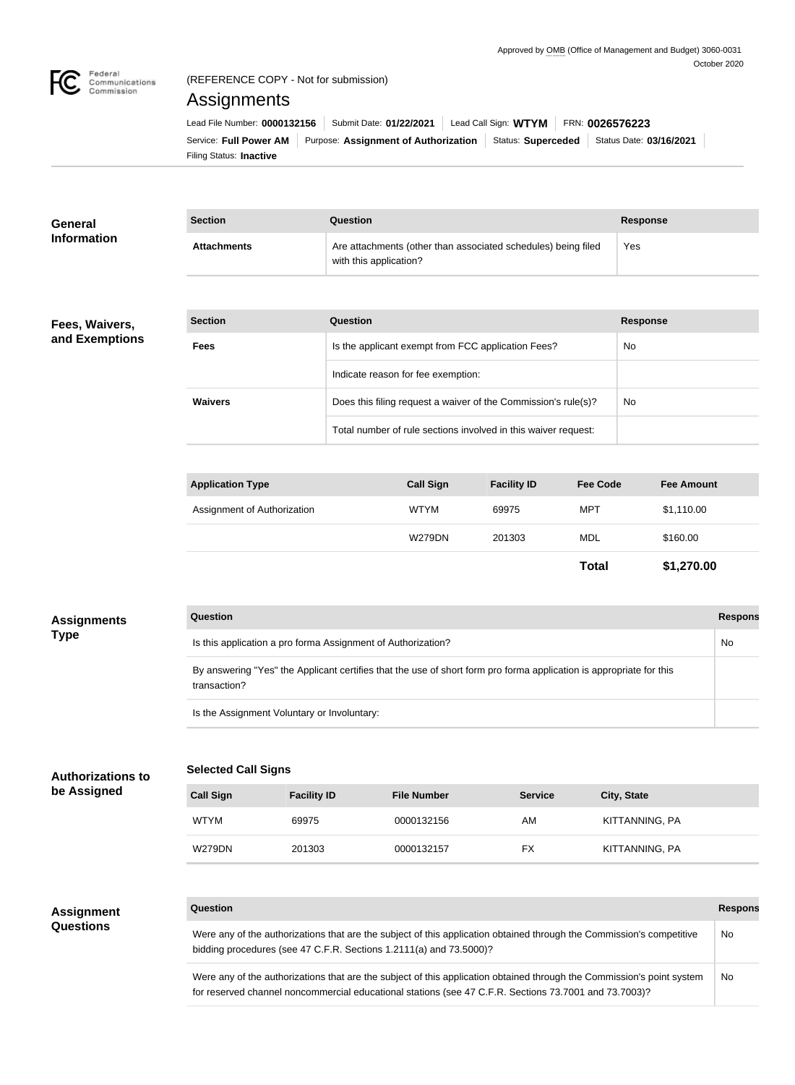

## (REFERENCE COPY - Not for submission)

# Assignments

| Lead File Number: 0000132156   | Submit Date: 01/22/2021                                       | Lead Call Sign: $WTYM$   FRN: 0026576223 |  |                         |  |
|--------------------------------|---------------------------------------------------------------|------------------------------------------|--|-------------------------|--|
|                                | Service: Full Power AM   Purpose: Assignment of Authorization | Status: Superceded                       |  | Status Date: 03/16/2021 |  |
| Filing Status: <b>Inactive</b> |                                                               |                                          |  |                         |  |

| <b>General</b><br><b>Information</b> | <b>Section</b>     | Question                                                                                | <b>Response</b> |
|--------------------------------------|--------------------|-----------------------------------------------------------------------------------------|-----------------|
|                                      | <b>Attachments</b> | Are attachments (other than associated schedules) being filed<br>with this application? | Yes             |
|                                      |                    |                                                                                         |                 |
| Fees, Waivers,                       | <b>Section</b>     | Question                                                                                | <b>Response</b> |
| and Exemptions                       | <b>Fees</b>        | Is the applicant exempt from FCC application Fees?                                      | No.             |
|                                      |                    | Indicate reason for fee exemption:                                                      |                 |
|                                      | <b>Waivers</b>     | Does this filing request a waiver of the Commission's rule(s)?                          | No              |
|                                      |                    | Total number of rule sections involved in this waiver request:                          |                 |

| <b>Application Type</b>     | <b>Call Sign</b> | <b>Facility ID</b> | <b>Fee Code</b> | <b>Fee Amount</b> |
|-----------------------------|------------------|--------------------|-----------------|-------------------|
| Assignment of Authorization | <b>WTYM</b>      | 69975              | MPT             | \$1,110.00        |
|                             | <b>W279DN</b>    | 201303             | MDL             | \$160.00          |
|                             |                  |                    | <b>Total</b>    | \$1,270.00        |

| <b>Assignments</b> | <b>Question</b>                                                                                                                     | <b>Respons</b> |
|--------------------|-------------------------------------------------------------------------------------------------------------------------------------|----------------|
| Type               | Is this application a pro forma Assignment of Authorization?                                                                        | No             |
|                    | By answering "Yes" the Applicant certifies that the use of short form pro forma application is appropriate for this<br>transaction? |                |
|                    | Is the Assignment Voluntary or Involuntary:                                                                                         |                |

#### **Selected Call Signs Authorizations to**

| <b>Call Sign</b> | <b>Facility ID</b> | <b>File Number</b> | <b>Service</b> | <b>City, State</b> |
|------------------|--------------------|--------------------|----------------|--------------------|
| <b>WTYM</b>      | 69975              | 0000132156         | AM             | KITTANNING, PA     |
| <b>W279DN</b>    | 201303             | 0000132157         | FX             | KITTANNING, PA     |

#### **Assignment Questions**

**be Assigned**

#### **Question Response**

Were any of the authorizations that are the subject of this application obtained through the Commission's competitive bidding procedures (see 47 C.F.R. Sections 1.2111(a) and 73.5000)? No

Were any of the authorizations that are the subject of this application obtained through the Commission's point system for reserved channel noncommercial educational stations (see 47 C.F.R. Sections 73.7001 and 73.7003)? No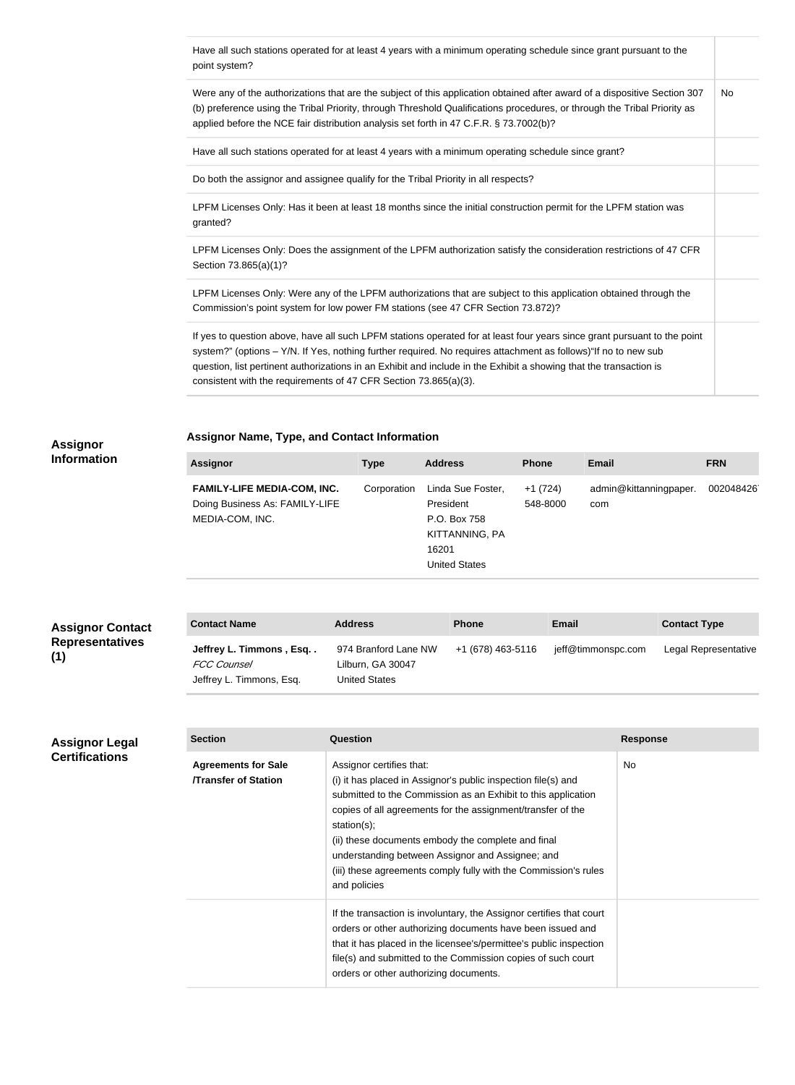| Have all such stations operated for at least 4 years with a minimum operating schedule since grant pursuant to the<br>point system?                                                                                                                                                                                                                                                                                                   |     |
|---------------------------------------------------------------------------------------------------------------------------------------------------------------------------------------------------------------------------------------------------------------------------------------------------------------------------------------------------------------------------------------------------------------------------------------|-----|
| Were any of the authorizations that are the subject of this application obtained after award of a dispositive Section 307<br>(b) preference using the Tribal Priority, through Threshold Qualifications procedures, or through the Tribal Priority as<br>applied before the NCE fair distribution analysis set forth in 47 C.F.R. § 73.7002(b)?                                                                                       | No. |
| Have all such stations operated for at least 4 years with a minimum operating schedule since grant?                                                                                                                                                                                                                                                                                                                                   |     |
| Do both the assignor and assignee qualify for the Tribal Priority in all respects?                                                                                                                                                                                                                                                                                                                                                    |     |
| LPFM Licenses Only: Has it been at least 18 months since the initial construction permit for the LPFM station was<br>granted?                                                                                                                                                                                                                                                                                                         |     |
| LPFM Licenses Only: Does the assignment of the LPFM authorization satisfy the consideration restrictions of 47 CFR<br>Section 73.865(a)(1)?                                                                                                                                                                                                                                                                                           |     |
| LPFM Licenses Only: Were any of the LPFM authorizations that are subject to this application obtained through the<br>Commission's point system for low power FM stations (see 47 CFR Section 73.872)?                                                                                                                                                                                                                                 |     |
| If yes to question above, have all such LPFM stations operated for at least four years since grant pursuant to the point<br>system?" (options - Y/N. If Yes, nothing further required. No requires attachment as follows) "If no to new sub<br>question, list pertinent authorizations in an Exhibit and include in the Exhibit a showing that the transaction is<br>consistent with the requirements of 47 CFR Section 73.865(a)(3). |     |

#### **Assignor Information**

## **Assignor Name, Type, and Contact Information**

| <b>Assignor</b>                                                                         | Type        | <b>Address</b>                                                                             | <b>Phone</b>          | <b>Email</b>                  | <b>FRN</b> |
|-----------------------------------------------------------------------------------------|-------------|--------------------------------------------------------------------------------------------|-----------------------|-------------------------------|------------|
| <b>FAMILY-LIFE MEDIA-COM, INC.</b><br>Doing Business As: FAMILY-LIFE<br>MEDIA-COM, INC. | Corporation | Linda Sue Foster,<br>President<br>P.O. Box 758<br>KITTANNING, PA<br>16201<br>United States | $+1(724)$<br>548-8000 | admin@kittanningpaper.<br>com | 002048426  |

| <b>Assignor Contact</b>       | <b>Contact Name</b>                                                       | <b>Address</b>                                             | <b>Phone</b>      | Email              | <b>Contact Type</b>  |
|-------------------------------|---------------------------------------------------------------------------|------------------------------------------------------------|-------------------|--------------------|----------------------|
| <b>Representatives</b><br>(1) | Jeffrey L. Timmons, Esq<br><b>FCC Counsel</b><br>Jeffrey L. Timmons, Esq. | 974 Branford Lane NW<br>Lilburn, GA 30047<br>United States | +1 (678) 463-5116 | jeff@timmonspc.com | Legal Representative |

#### **Assignor Legal Certifications**

**(1)**

| <b>Section</b>                                           | Question                                                                                                                                                                                                                                                                                                                                                                                                                                  | <b>Response</b> |
|----------------------------------------------------------|-------------------------------------------------------------------------------------------------------------------------------------------------------------------------------------------------------------------------------------------------------------------------------------------------------------------------------------------------------------------------------------------------------------------------------------------|-----------------|
| <b>Agreements for Sale</b><br><b>Transfer of Station</b> | Assignor certifies that:<br>(i) it has placed in Assignor's public inspection file(s) and<br>submitted to the Commission as an Exhibit to this application<br>copies of all agreements for the assignment/transfer of the<br>station $(s)$ ;<br>(ii) these documents embody the complete and final<br>understanding between Assignor and Assignee; and<br>(iii) these agreements comply fully with the Commission's rules<br>and policies | No.             |
|                                                          | If the transaction is involuntary, the Assignor certifies that court<br>orders or other authorizing documents have been issued and<br>that it has placed in the licensee's/permittee's public inspection<br>file(s) and submitted to the Commission copies of such court<br>orders or other authorizing documents.                                                                                                                        |                 |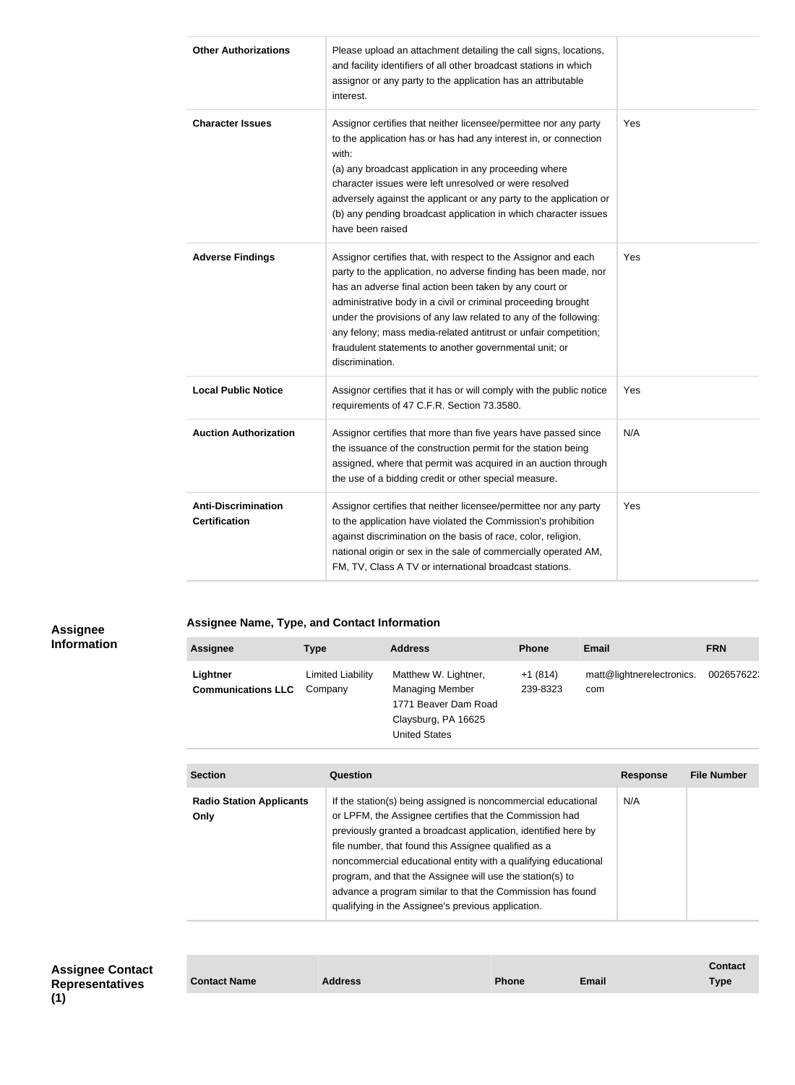| <b>Other Authorizations</b>                        | Please upload an attachment detailing the call signs, locations,<br>and facility identifiers of all other broadcast stations in which<br>assignor or any party to the application has an attributable<br>interest.                                                                                                                                                                                                                                                               |     |
|----------------------------------------------------|----------------------------------------------------------------------------------------------------------------------------------------------------------------------------------------------------------------------------------------------------------------------------------------------------------------------------------------------------------------------------------------------------------------------------------------------------------------------------------|-----|
| <b>Character Issues</b>                            | Assignor certifies that neither licensee/permittee nor any party<br>to the application has or has had any interest in, or connection<br>with:<br>(a) any broadcast application in any proceeding where<br>character issues were left unresolved or were resolved<br>adversely against the applicant or any party to the application or<br>(b) any pending broadcast application in which character issues<br>have been raised                                                    | Yes |
| <b>Adverse Findings</b>                            | Assignor certifies that, with respect to the Assignor and each<br>party to the application, no adverse finding has been made, nor<br>has an adverse final action been taken by any court or<br>administrative body in a civil or criminal proceeding brought<br>under the provisions of any law related to any of the following:<br>any felony; mass media-related antitrust or unfair competition;<br>fraudulent statements to another governmental unit; or<br>discrimination. | Yes |
| <b>Local Public Notice</b>                         | Assignor certifies that it has or will comply with the public notice<br>requirements of 47 C.F.R. Section 73.3580.                                                                                                                                                                                                                                                                                                                                                               | Yes |
| <b>Auction Authorization</b>                       | Assignor certifies that more than five years have passed since<br>the issuance of the construction permit for the station being<br>assigned, where that permit was acquired in an auction through<br>the use of a bidding credit or other special measure.                                                                                                                                                                                                                       | N/A |
| <b>Anti-Discrimination</b><br><b>Certification</b> | Assignor certifies that neither licensee/permittee nor any party<br>to the application have violated the Commission's prohibition<br>against discrimination on the basis of race, color, religion,<br>national origin or sex in the sale of commercially operated AM,<br>FM, TV, Class A TV or international broadcast stations.                                                                                                                                                 | Yes |

**Assignee Information**

## **Assignee Name, Type, and Contact Information**

| <b>Assignee</b>                       | <b>Type</b>                  | <b>Address</b>                                                                                                        | <b>Phone</b>          | <b>Email</b>                     | <b>FRN</b> |
|---------------------------------------|------------------------------|-----------------------------------------------------------------------------------------------------------------------|-----------------------|----------------------------------|------------|
| Lightner<br><b>Communications LLC</b> | Limited Liability<br>Company | Matthew W. Lightner,<br><b>Managing Member</b><br>1771 Beaver Dam Road<br>Claysburg, PA 16625<br><b>United States</b> | $+1(814)$<br>239-8323 | matt@lightnerelectronics.<br>com | 002657622; |

| <b>Section</b>                          | Question                                                                                                                                                                                                                                                                                                                                                                                                                                                                                              | <b>Response</b> | <b>File Number</b> |
|-----------------------------------------|-------------------------------------------------------------------------------------------------------------------------------------------------------------------------------------------------------------------------------------------------------------------------------------------------------------------------------------------------------------------------------------------------------------------------------------------------------------------------------------------------------|-----------------|--------------------|
| <b>Radio Station Applicants</b><br>Only | If the station(s) being assigned is noncommercial educational<br>or LPFM, the Assignee certifies that the Commission had<br>previously granted a broadcast application, identified here by<br>file number, that found this Assignee qualified as a<br>noncommercial educational entity with a qualifying educational<br>program, and that the Assignee will use the station(s) to<br>advance a program similar to that the Commission has found<br>qualifying in the Assignee's previous application. | N/A             |                    |

**Assignee Contact Representatives** 

|                     |                |              |              | Contact |
|---------------------|----------------|--------------|--------------|---------|
| <b>Contact Name</b> | <b>Address</b> | <b>Phone</b> | <b>Email</b> | Type    |
|                     |                |              |              |         |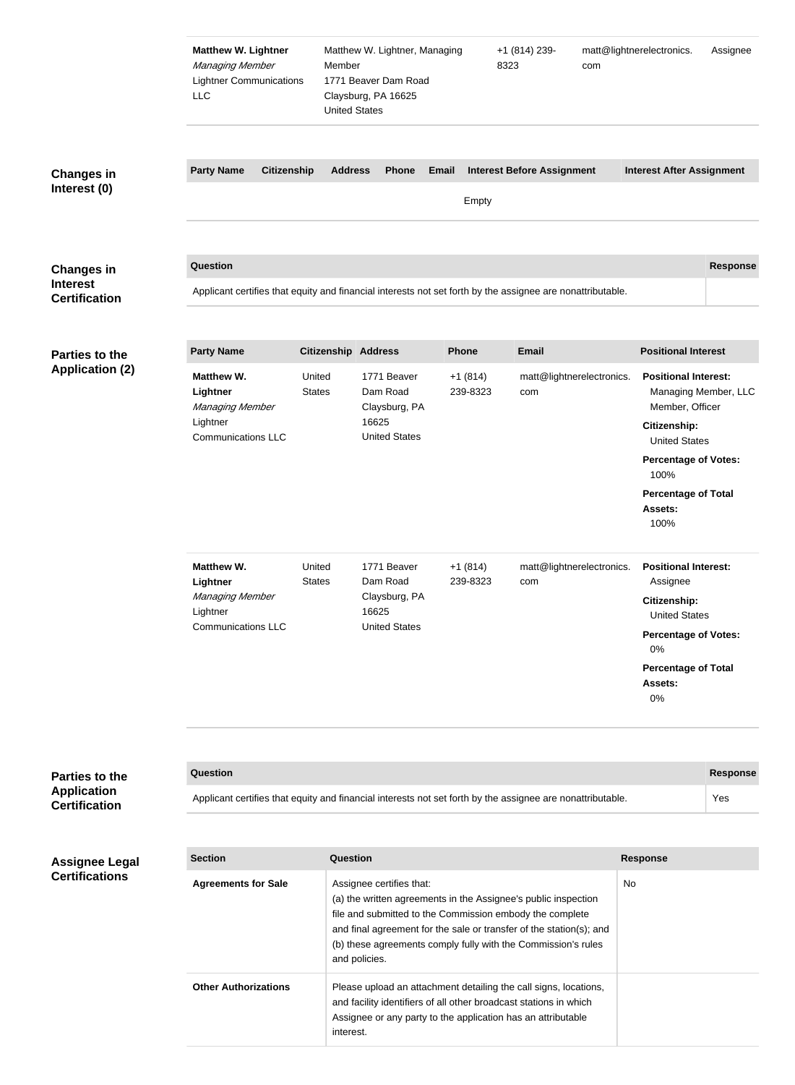|                                                              | <b>Matthew W. Lightner</b><br>Managing Member<br><b>Lightner Communications</b><br><b>LLC</b>    | Member<br><b>United States</b> | Matthew W. Lightner, Managing<br>1771 Beaver Dam Road<br>Claysburg, PA 16625 |                       | +1 (814) 239-<br>8323<br>com                                                                                                                                                                                                                                       | matt@lightnerelectronics.                                                                                                                                           | Assignee             |  |
|--------------------------------------------------------------|--------------------------------------------------------------------------------------------------|--------------------------------|------------------------------------------------------------------------------|-----------------------|--------------------------------------------------------------------------------------------------------------------------------------------------------------------------------------------------------------------------------------------------------------------|---------------------------------------------------------------------------------------------------------------------------------------------------------------------|----------------------|--|
| <b>Changes in</b><br>Interest (0)                            | <b>Party Name</b><br><b>Citizenship</b>                                                          | <b>Address</b>                 | <b>Phone</b>                                                                 | <b>Email</b><br>Empty | <b>Interest Before Assignment</b>                                                                                                                                                                                                                                  | <b>Interest After Assignment</b>                                                                                                                                    |                      |  |
| <b>Changes in</b><br><b>Interest</b><br><b>Certification</b> | Question                                                                                         |                                |                                                                              |                       | Applicant certifies that equity and financial interests not set forth by the assignee are nonattributable.                                                                                                                                                         |                                                                                                                                                                     | <b>Response</b>      |  |
| Parties to the                                               | <b>Party Name</b>                                                                                | <b>Citizenship Address</b>     |                                                                              | <b>Phone</b>          | <b>Email</b>                                                                                                                                                                                                                                                       | <b>Positional Interest</b>                                                                                                                                          |                      |  |
| <b>Application (2)</b>                                       | <b>Matthew W.</b><br>Lightner<br>Managing Member<br>Lightner<br><b>Communications LLC</b>        | United<br><b>States</b>        | 1771 Beaver<br>Dam Road<br>Claysburg, PA<br>16625<br><b>United States</b>    | $+1(814)$<br>239-8323 | matt@lightnerelectronics.<br>com                                                                                                                                                                                                                                   | <b>Positional Interest:</b><br>Member, Officer<br>Citizenship:<br><b>United States</b><br><b>Percentage of Votes:</b>                                               | Managing Member, LLC |  |
|                                                              |                                                                                                  |                                |                                                                              |                       |                                                                                                                                                                                                                                                                    | 100%<br><b>Percentage of Total</b><br>Assets:<br>100%                                                                                                               |                      |  |
|                                                              | <b>Matthew W.</b><br>Lightner<br><b>Managing Member</b><br>Lightner<br><b>Communications LLC</b> | United<br><b>States</b>        | 1771 Beaver<br>Dam Road<br>Claysburg, PA<br>16625<br><b>United States</b>    | $+1(814)$<br>239-8323 | matt@lightnerelectronics.<br>com                                                                                                                                                                                                                                   | <b>Positional Interest:</b><br>Assignee<br>Citizenship:<br><b>United States</b><br><b>Percentage of Votes:</b><br>0%<br><b>Percentage of Total</b><br>Assets:<br>0% |                      |  |
|                                                              |                                                                                                  |                                |                                                                              |                       |                                                                                                                                                                                                                                                                    |                                                                                                                                                                     |                      |  |
| Parties to the<br><b>Application</b>                         | Question                                                                                         |                                |                                                                              |                       |                                                                                                                                                                                                                                                                    |                                                                                                                                                                     | <b>Response</b>      |  |
| <b>Certification</b>                                         |                                                                                                  |                                |                                                                              |                       | Applicant certifies that equity and financial interests not set forth by the assignee are nonattributable.                                                                                                                                                         |                                                                                                                                                                     | Yes                  |  |
| <b>Assignee Legal</b>                                        | <b>Section</b>                                                                                   | Question                       |                                                                              |                       |                                                                                                                                                                                                                                                                    | <b>Response</b>                                                                                                                                                     |                      |  |
| <b>Certifications</b>                                        | <b>Agreements for Sale</b>                                                                       |                                | Assignee certifies that:<br>and policies.                                    |                       | (a) the written agreements in the Assignee's public inspection<br>file and submitted to the Commission embody the complete<br>and final agreement for the sale or transfer of the station(s); and<br>(b) these agreements comply fully with the Commission's rules | No                                                                                                                                                                  |                      |  |
|                                                              | <b>Other Authorizations</b>                                                                      |                                |                                                                              |                       | Please upload an attachment detailing the call signs, locations,<br>and facility identifiers of all other broadcast stations in which                                                                                                                              |                                                                                                                                                                     |                      |  |

Assignee or any party to the application has an attributable

interest.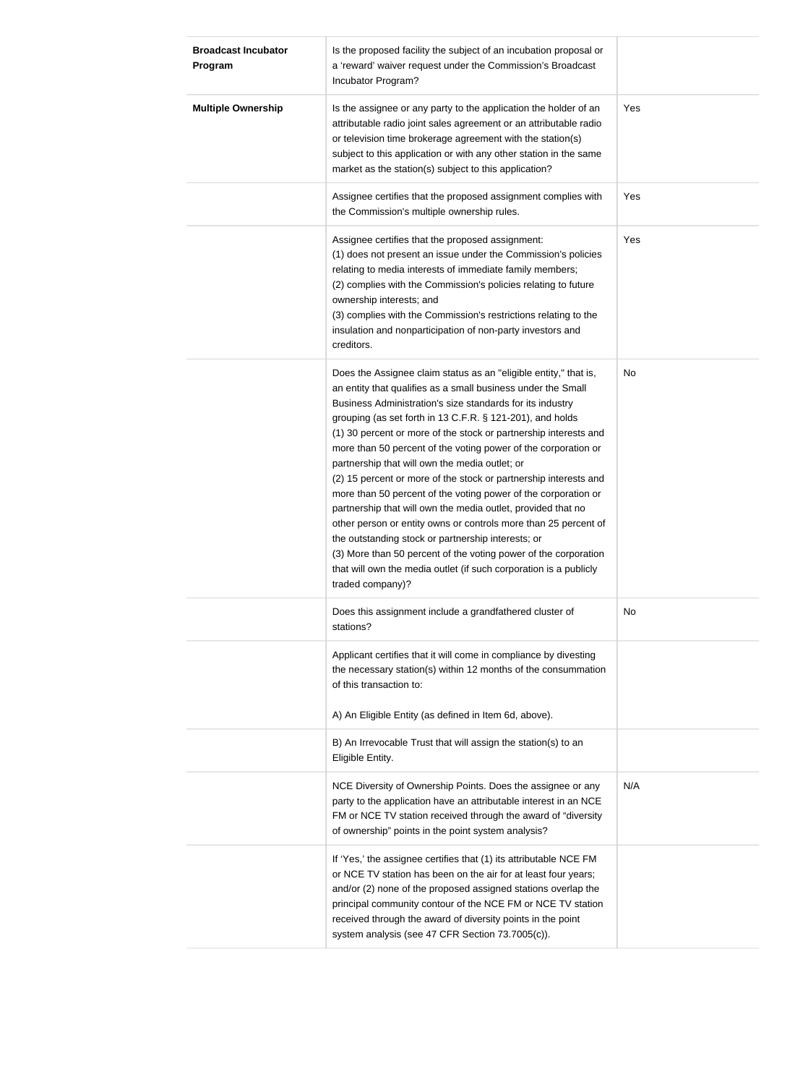| <b>Broadcast Incubator</b><br>Program | Is the proposed facility the subject of an incubation proposal or<br>a 'reward' waiver request under the Commission's Broadcast<br>Incubator Program?                                                                                                                                                                                                                                                                                                                                                                                                                                                                                                                                                                                                                                                                                                                                                                                         |     |
|---------------------------------------|-----------------------------------------------------------------------------------------------------------------------------------------------------------------------------------------------------------------------------------------------------------------------------------------------------------------------------------------------------------------------------------------------------------------------------------------------------------------------------------------------------------------------------------------------------------------------------------------------------------------------------------------------------------------------------------------------------------------------------------------------------------------------------------------------------------------------------------------------------------------------------------------------------------------------------------------------|-----|
| <b>Multiple Ownership</b>             | Is the assignee or any party to the application the holder of an<br>attributable radio joint sales agreement or an attributable radio<br>or television time brokerage agreement with the station(s)<br>subject to this application or with any other station in the same<br>market as the station(s) subject to this application?                                                                                                                                                                                                                                                                                                                                                                                                                                                                                                                                                                                                             | Yes |
|                                       | Assignee certifies that the proposed assignment complies with<br>the Commission's multiple ownership rules.                                                                                                                                                                                                                                                                                                                                                                                                                                                                                                                                                                                                                                                                                                                                                                                                                                   | Yes |
|                                       | Assignee certifies that the proposed assignment:<br>(1) does not present an issue under the Commission's policies<br>relating to media interests of immediate family members;<br>(2) complies with the Commission's policies relating to future<br>ownership interests; and<br>(3) complies with the Commission's restrictions relating to the<br>insulation and nonparticipation of non-party investors and<br>creditors.                                                                                                                                                                                                                                                                                                                                                                                                                                                                                                                    | Yes |
|                                       | Does the Assignee claim status as an "eligible entity," that is,<br>an entity that qualifies as a small business under the Small<br>Business Administration's size standards for its industry<br>grouping (as set forth in 13 C.F.R. § 121-201), and holds<br>(1) 30 percent or more of the stock or partnership interests and<br>more than 50 percent of the voting power of the corporation or<br>partnership that will own the media outlet; or<br>(2) 15 percent or more of the stock or partnership interests and<br>more than 50 percent of the voting power of the corporation or<br>partnership that will own the media outlet, provided that no<br>other person or entity owns or controls more than 25 percent of<br>the outstanding stock or partnership interests; or<br>(3) More than 50 percent of the voting power of the corporation<br>that will own the media outlet (if such corporation is a publicly<br>traded company)? | No  |
|                                       | Does this assignment include a grandfathered cluster of<br>stations?                                                                                                                                                                                                                                                                                                                                                                                                                                                                                                                                                                                                                                                                                                                                                                                                                                                                          | No  |
|                                       | Applicant certifies that it will come in compliance by divesting<br>the necessary station(s) within 12 months of the consummation<br>of this transaction to:<br>A) An Eligible Entity (as defined in Item 6d, above).                                                                                                                                                                                                                                                                                                                                                                                                                                                                                                                                                                                                                                                                                                                         |     |
|                                       | B) An Irrevocable Trust that will assign the station(s) to an<br>Eligible Entity.                                                                                                                                                                                                                                                                                                                                                                                                                                                                                                                                                                                                                                                                                                                                                                                                                                                             |     |
|                                       | NCE Diversity of Ownership Points. Does the assignee or any<br>party to the application have an attributable interest in an NCE<br>FM or NCE TV station received through the award of "diversity<br>of ownership" points in the point system analysis?                                                                                                                                                                                                                                                                                                                                                                                                                                                                                                                                                                                                                                                                                        | N/A |
|                                       | If 'Yes,' the assignee certifies that (1) its attributable NCE FM<br>or NCE TV station has been on the air for at least four years;<br>and/or (2) none of the proposed assigned stations overlap the<br>principal community contour of the NCE FM or NCE TV station<br>received through the award of diversity points in the point<br>system analysis (see 47 CFR Section 73.7005(c)).                                                                                                                                                                                                                                                                                                                                                                                                                                                                                                                                                        |     |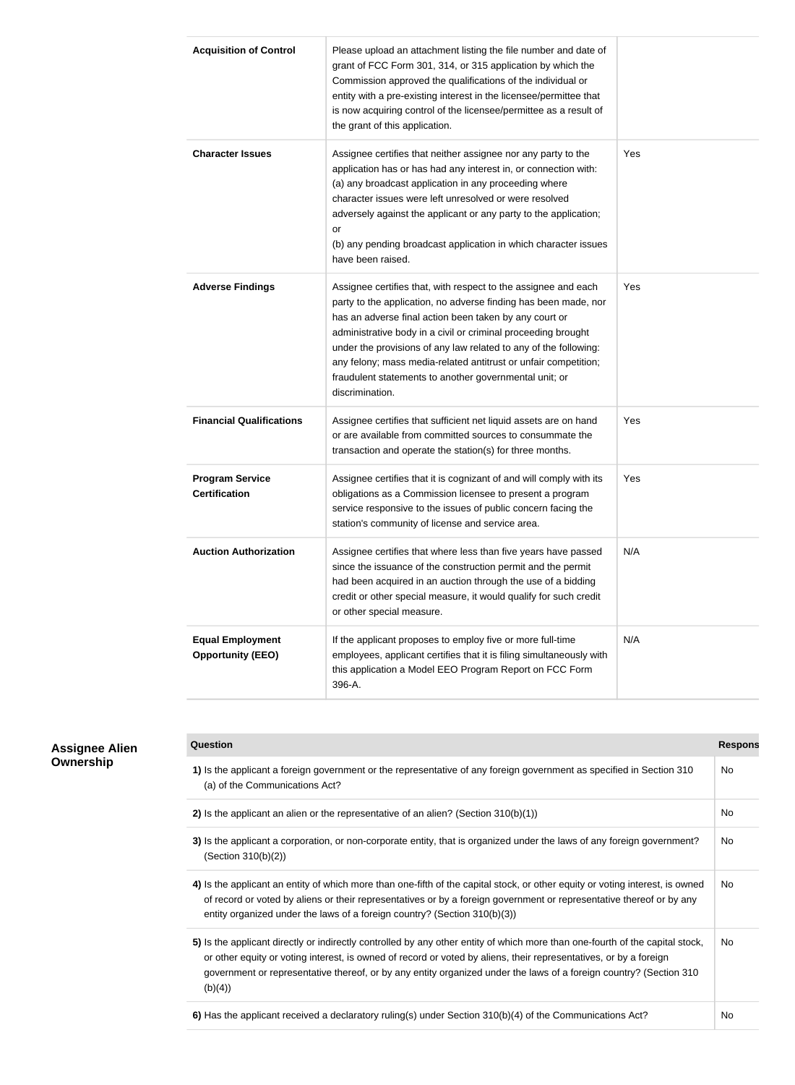| <b>Acquisition of Control</b>                       | Please upload an attachment listing the file number and date of<br>grant of FCC Form 301, 314, or 315 application by which the<br>Commission approved the qualifications of the individual or<br>entity with a pre-existing interest in the licensee/permittee that<br>is now acquiring control of the licensee/permittee as a result of<br>the grant of this application.                                                                                                       |     |
|-----------------------------------------------------|----------------------------------------------------------------------------------------------------------------------------------------------------------------------------------------------------------------------------------------------------------------------------------------------------------------------------------------------------------------------------------------------------------------------------------------------------------------------------------|-----|
| <b>Character Issues</b>                             | Assignee certifies that neither assignee nor any party to the<br>application has or has had any interest in, or connection with:<br>(a) any broadcast application in any proceeding where<br>character issues were left unresolved or were resolved<br>adversely against the applicant or any party to the application;<br>or<br>(b) any pending broadcast application in which character issues<br>have been raised.                                                            | Yes |
| <b>Adverse Findings</b>                             | Assignee certifies that, with respect to the assignee and each<br>party to the application, no adverse finding has been made, nor<br>has an adverse final action been taken by any court or<br>administrative body in a civil or criminal proceeding brought<br>under the provisions of any law related to any of the following:<br>any felony; mass media-related antitrust or unfair competition;<br>fraudulent statements to another governmental unit; or<br>discrimination. | Yes |
| <b>Financial Qualifications</b>                     | Assignee certifies that sufficient net liquid assets are on hand<br>or are available from committed sources to consummate the<br>transaction and operate the station(s) for three months.                                                                                                                                                                                                                                                                                        | Yes |
| <b>Program Service</b><br><b>Certification</b>      | Assignee certifies that it is cognizant of and will comply with its<br>obligations as a Commission licensee to present a program<br>service responsive to the issues of public concern facing the<br>station's community of license and service area.                                                                                                                                                                                                                            | Yes |
| <b>Auction Authorization</b>                        | Assignee certifies that where less than five years have passed<br>since the issuance of the construction permit and the permit<br>had been acquired in an auction through the use of a bidding<br>credit or other special measure, it would qualify for such credit<br>or other special measure.                                                                                                                                                                                 | N/A |
| <b>Equal Employment</b><br><b>Opportunity (EEO)</b> | If the applicant proposes to employ five or more full-time<br>employees, applicant certifies that it is filing simultaneously with<br>this application a Model EEO Program Report on FCC Form<br>396-A.                                                                                                                                                                                                                                                                          | N/A |

| <b>Question</b>                                                                                                                                                                                                                                                                                                                                                                    | <b>Respons</b> |
|------------------------------------------------------------------------------------------------------------------------------------------------------------------------------------------------------------------------------------------------------------------------------------------------------------------------------------------------------------------------------------|----------------|
| 1) Is the applicant a foreign government or the representative of any foreign government as specified in Section 310<br>(a) of the Communications Act?                                                                                                                                                                                                                             | <b>No</b>      |
| 2) Is the applicant an alien or the representative of an alien? (Section $310(b)(1)$ )                                                                                                                                                                                                                                                                                             | No.            |
| 3) Is the applicant a corporation, or non-corporate entity, that is organized under the laws of any foreign government?<br>(Section 310(b)(2))                                                                                                                                                                                                                                     | No.            |
| 4) Is the applicant an entity of which more than one-fifth of the capital stock, or other equity or voting interest, is owned<br>of record or voted by aliens or their representatives or by a foreign government or representative thereof or by any<br>entity organized under the laws of a foreign country? (Section 310(b)(3))                                                 | No.            |
| 5) Is the applicant directly or indirectly controlled by any other entity of which more than one-fourth of the capital stock,<br>or other equity or voting interest, is owned of record or voted by aliens, their representatives, or by a foreign<br>government or representative thereof, or by any entity organized under the laws of a foreign country? (Section 310<br>(b)(4) | No.            |
| 6) Has the applicant received a declaratory ruling(s) under Section 310(b)(4) of the Communications Act?                                                                                                                                                                                                                                                                           | No             |

#### **Assignee Alien Ownership**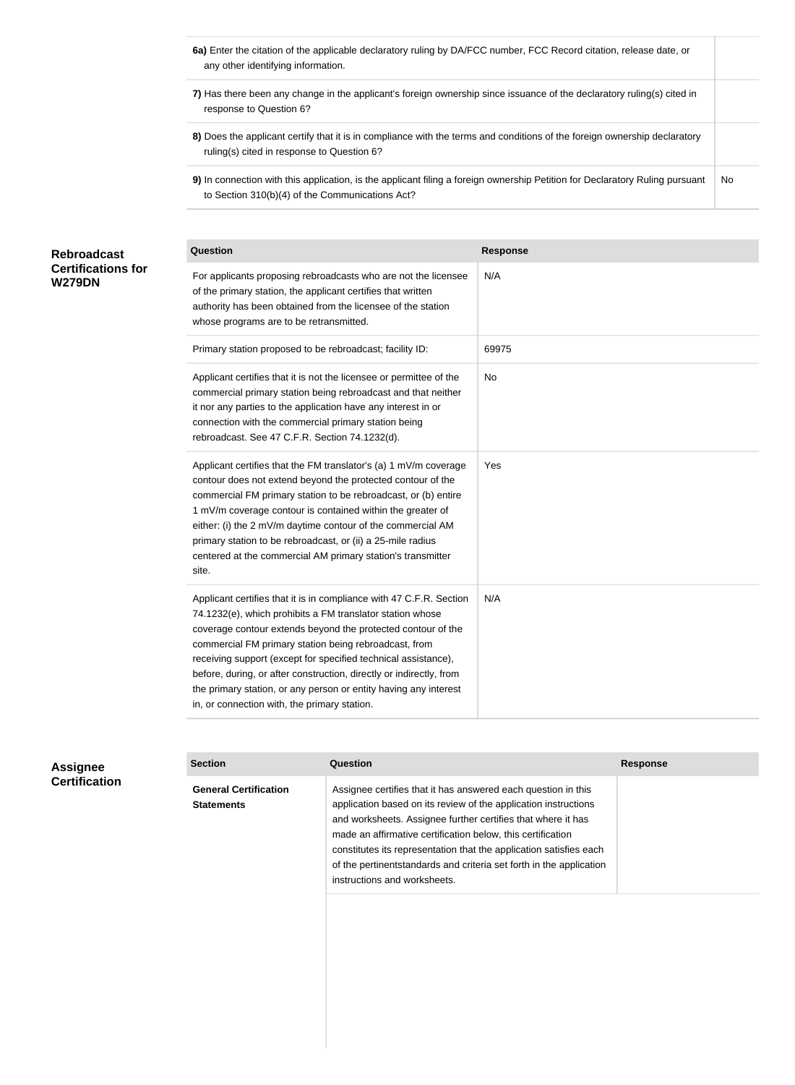- **6a)** Enter the citation of the applicable declaratory ruling by DA/FCC number, FCC Record citation, release date, or any other identifying information.
- **7)** Has there been any change in the applicant's foreign ownership since issuance of the declaratory ruling(s) cited in response to Question 6?
- **8)** Does the applicant certify that it is in compliance with the terms and conditions of the foreign ownership declaratory ruling(s) cited in response to Question 6?
- **9)** In connection with this application, is the applicant filing a foreign ownership Petition for Declaratory Ruling pursuant to Section 310(b)(4) of the Communications Act? No

#### **Question Response** For applicants proposing rebroadcasts who are not the licensee of the primary station, the applicant certifies that written authority has been obtained from the licensee of the station whose programs are to be retransmitted. N/A Primary station proposed to be rebroadcast; facility ID: 69975 Applicant certifies that it is not the licensee or permittee of the commercial primary station being rebroadcast and that neither it nor any parties to the application have any interest in or connection with the commercial primary station being rebroadcast. See 47 C.F.R. Section 74.1232(d). No Applicant certifies that the FM translator's (a) 1 mV/m coverage contour does not extend beyond the protected contour of the commercial FM primary station to be rebroadcast, or (b) entire 1 mV/m coverage contour is contained within the greater of either: (i) the 2 mV/m daytime contour of the commercial AM primary station to be rebroadcast, or (ii) a 25-mile radius centered at the commercial AM primary station's transmitter site. Yes Applicant certifies that it is in compliance with 47 C.F.R. Section 74.1232(e), which prohibits a FM translator station whose coverage contour extends beyond the protected contour of the commercial FM primary station being rebroadcast, from receiving support (except for specified technical assistance), before, during, or after construction, directly or indirectly, from the primary station, or any person or entity having any interest in, or connection with, the primary station. N/A **Rebroadcast Certifications for W279DN**

| <b>Assignee</b>      | <b>Section</b>                                    | <b>Question</b>                                                                                                                                                                                                                                                                                                                                                                                                                              | <b>Response</b> |
|----------------------|---------------------------------------------------|----------------------------------------------------------------------------------------------------------------------------------------------------------------------------------------------------------------------------------------------------------------------------------------------------------------------------------------------------------------------------------------------------------------------------------------------|-----------------|
| <b>Certification</b> | <b>General Certification</b><br><b>Statements</b> | Assignee certifies that it has answered each question in this<br>application based on its review of the application instructions<br>and worksheets. Assignee further certifies that where it has<br>made an affirmative certification below, this certification<br>constitutes its representation that the application satisfies each<br>of the pertinentstandards and criteria set forth in the application<br>instructions and worksheets. |                 |
|                      |                                                   |                                                                                                                                                                                                                                                                                                                                                                                                                                              |                 |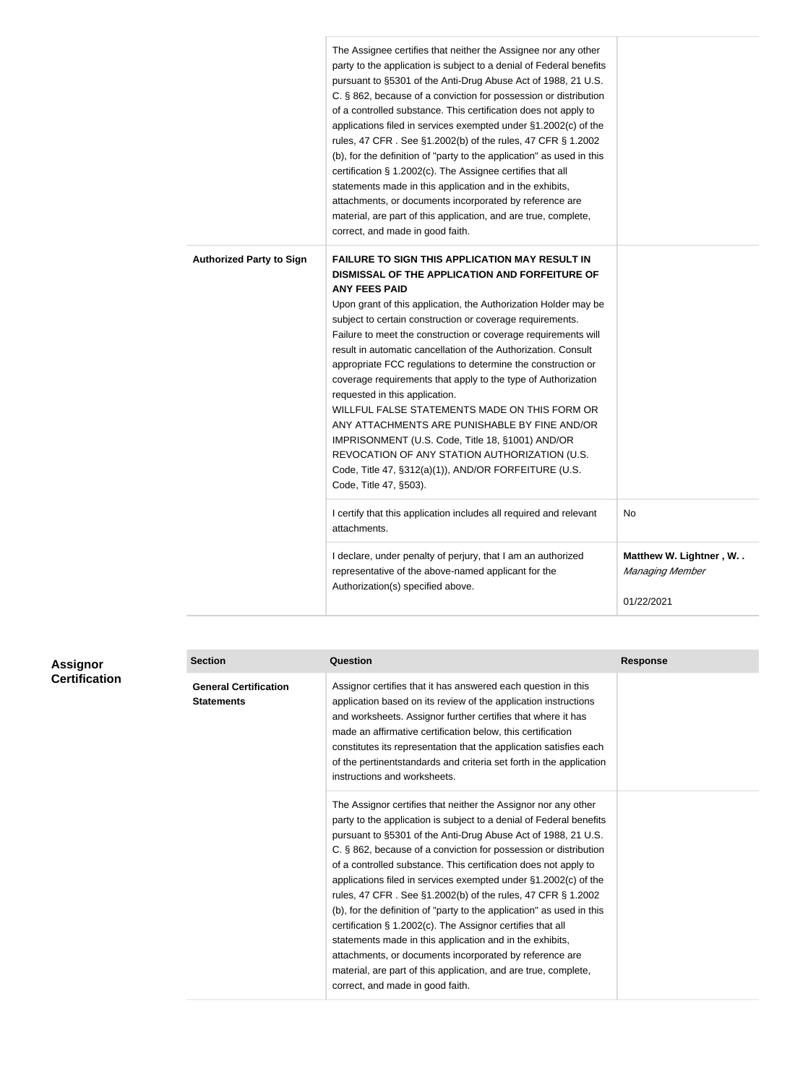|                                 | The Assignee certifies that neither the Assignee nor any other<br>party to the application is subject to a denial of Federal benefits<br>pursuant to §5301 of the Anti-Drug Abuse Act of 1988, 21 U.S.<br>C. § 862, because of a conviction for possession or distribution<br>of a controlled substance. This certification does not apply to<br>applications filed in services exempted under §1.2002(c) of the<br>rules, 47 CFR. See §1.2002(b) of the rules, 47 CFR § 1.2002<br>(b), for the definition of "party to the application" as used in this<br>certification § 1.2002(c). The Assignee certifies that all<br>statements made in this application and in the exhibits,<br>attachments, or documents incorporated by reference are<br>material, are part of this application, and are true, complete,<br>correct, and made in good faith.            |                                                         |
|---------------------------------|-----------------------------------------------------------------------------------------------------------------------------------------------------------------------------------------------------------------------------------------------------------------------------------------------------------------------------------------------------------------------------------------------------------------------------------------------------------------------------------------------------------------------------------------------------------------------------------------------------------------------------------------------------------------------------------------------------------------------------------------------------------------------------------------------------------------------------------------------------------------|---------------------------------------------------------|
| <b>Authorized Party to Sign</b> | <b>FAILURE TO SIGN THIS APPLICATION MAY RESULT IN</b><br>DISMISSAL OF THE APPLICATION AND FORFEITURE OF<br><b>ANY FEES PAID</b><br>Upon grant of this application, the Authorization Holder may be<br>subject to certain construction or coverage requirements.<br>Failure to meet the construction or coverage requirements will<br>result in automatic cancellation of the Authorization. Consult<br>appropriate FCC regulations to determine the construction or<br>coverage requirements that apply to the type of Authorization<br>requested in this application.<br>WILLFUL FALSE STATEMENTS MADE ON THIS FORM OR<br>ANY ATTACHMENTS ARE PUNISHABLE BY FINE AND/OR<br>IMPRISONMENT (U.S. Code, Title 18, §1001) AND/OR<br>REVOCATION OF ANY STATION AUTHORIZATION (U.S.<br>Code, Title 47, §312(a)(1)), AND/OR FORFEITURE (U.S.<br>Code, Title 47, §503). |                                                         |
|                                 | I certify that this application includes all required and relevant<br>attachments.                                                                                                                                                                                                                                                                                                                                                                                                                                                                                                                                                                                                                                                                                                                                                                              | No                                                      |
|                                 | I declare, under penalty of perjury, that I am an authorized<br>representative of the above-named applicant for the<br>Authorization(s) specified above.                                                                                                                                                                                                                                                                                                                                                                                                                                                                                                                                                                                                                                                                                                        | Matthew W. Lightner, W<br>Managing Member<br>01/22/2021 |

| <b>Assignor</b>      | <b>Section</b>                                    | <b>Question</b>                                                                                                                                                                                                                                                                                                                                                                                                                                                                                                                                                                                                                                                                                                                                                                                                                                      | <b>Response</b> |
|----------------------|---------------------------------------------------|------------------------------------------------------------------------------------------------------------------------------------------------------------------------------------------------------------------------------------------------------------------------------------------------------------------------------------------------------------------------------------------------------------------------------------------------------------------------------------------------------------------------------------------------------------------------------------------------------------------------------------------------------------------------------------------------------------------------------------------------------------------------------------------------------------------------------------------------------|-----------------|
| <b>Certification</b> | <b>General Certification</b><br><b>Statements</b> | Assignor certifies that it has answered each question in this<br>application based on its review of the application instructions<br>and worksheets. Assignor further certifies that where it has<br>made an affirmative certification below, this certification<br>constitutes its representation that the application satisfies each<br>of the pertinent standards and criteria set forth in the application<br>instructions and worksheets.                                                                                                                                                                                                                                                                                                                                                                                                        |                 |
|                      |                                                   | The Assignor certifies that neither the Assignor nor any other<br>party to the application is subject to a denial of Federal benefits<br>pursuant to §5301 of the Anti-Drug Abuse Act of 1988, 21 U.S.<br>C. § 862, because of a conviction for possession or distribution<br>of a controlled substance. This certification does not apply to<br>applications filed in services exempted under §1.2002(c) of the<br>rules, 47 CFR. See §1.2002(b) of the rules, 47 CFR § 1.2002<br>(b), for the definition of "party to the application" as used in this<br>certification § 1.2002(c). The Assignor certifies that all<br>statements made in this application and in the exhibits,<br>attachments, or documents incorporated by reference are<br>material, are part of this application, and are true, complete,<br>correct, and made in good faith. |                 |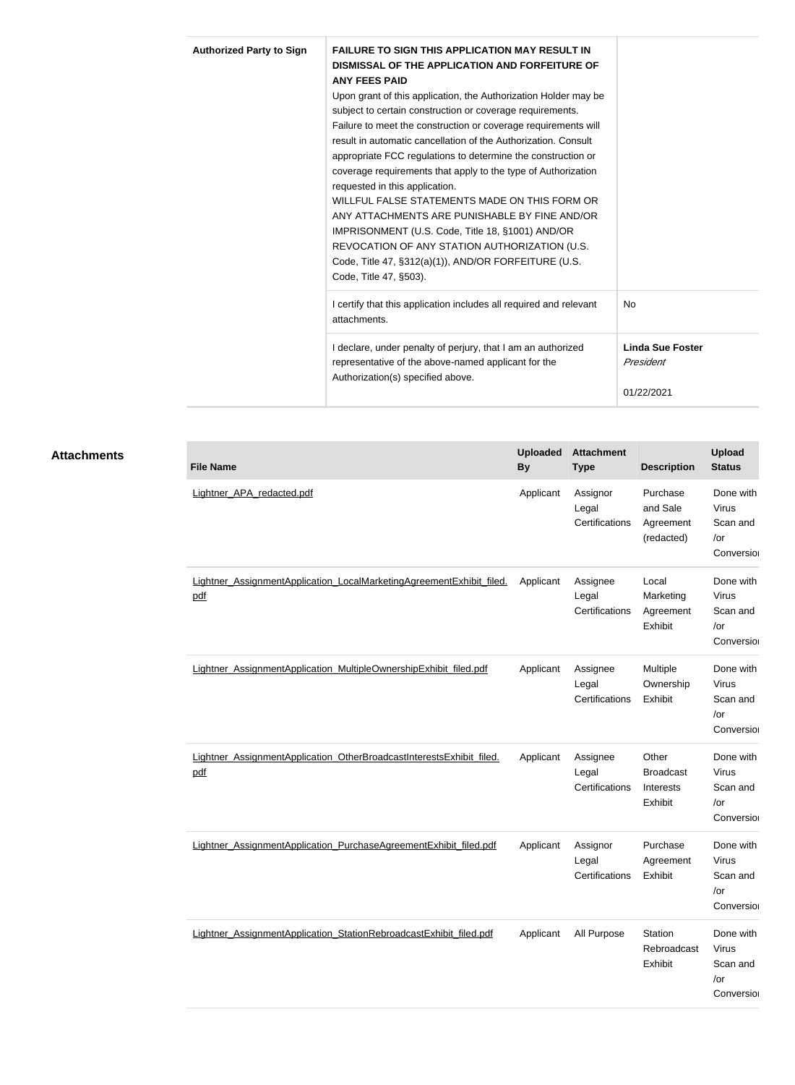| <b>Authorized Party to Sign</b> | <b>FAILURE TO SIGN THIS APPLICATION MAY RESULT IN</b><br>DISMISSAL OF THE APPLICATION AND FORFEITURE OF<br><b>ANY FEES PAID</b><br>Upon grant of this application, the Authorization Holder may be<br>subject to certain construction or coverage requirements.<br>Failure to meet the construction or coverage requirements will<br>result in automatic cancellation of the Authorization. Consult<br>appropriate FCC regulations to determine the construction or<br>coverage requirements that apply to the type of Authorization<br>requested in this application.<br>WILLFUL FALSE STATEMENTS MADE ON THIS FORM OR<br>ANY ATTACHMENTS ARE PUNISHABLE BY FINE AND/OR<br>IMPRISONMENT (U.S. Code, Title 18, §1001) AND/OR<br>REVOCATION OF ANY STATION AUTHORIZATION (U.S.<br>Code, Title 47, §312(a)(1)), AND/OR FORFEITURE (U.S.<br>Code, Title 47, §503). |                                                    |
|---------------------------------|-----------------------------------------------------------------------------------------------------------------------------------------------------------------------------------------------------------------------------------------------------------------------------------------------------------------------------------------------------------------------------------------------------------------------------------------------------------------------------------------------------------------------------------------------------------------------------------------------------------------------------------------------------------------------------------------------------------------------------------------------------------------------------------------------------------------------------------------------------------------|----------------------------------------------------|
|                                 | I certify that this application includes all required and relevant<br>attachments.                                                                                                                                                                                                                                                                                                                                                                                                                                                                                                                                                                                                                                                                                                                                                                              | <b>No</b>                                          |
|                                 | I declare, under penalty of perjury, that I am an authorized<br>representative of the above-named applicant for the<br>Authorization(s) specified above.                                                                                                                                                                                                                                                                                                                                                                                                                                                                                                                                                                                                                                                                                                        | <b>Linda Sue Foster</b><br>President<br>01/22/2021 |

### **Attachments**

| <b>File Name</b>                                                            | <b>Uploaded</b><br><b>By</b> | <b>Attachment</b><br><b>Type</b>    | <b>Description</b>                                | <b>Upload</b><br><b>Status</b>                             |
|-----------------------------------------------------------------------------|------------------------------|-------------------------------------|---------------------------------------------------|------------------------------------------------------------|
| Lightner_APA_redacted.pdf                                                   | Applicant                    | Assignor<br>Legal<br>Certifications | Purchase<br>and Sale<br>Agreement<br>(redacted)   | Done with<br>Virus<br>Scan and<br>/or<br>Conversion        |
| Lightner_AssignmentApplication_LocalMarketingAgreementExhibit_filed.<br>pdf | Applicant                    | Assignee<br>Legal<br>Certifications | Local<br>Marketing<br>Agreement<br>Exhibit        | Done with<br>Virus<br>Scan and<br>/or<br>Conversion        |
| Lightner AssignmentApplication MultipleOwnershipExhibit filed.pdf           | Applicant                    | Assignee<br>Legal<br>Certifications | Multiple<br>Ownership<br>Exhibit                  | Done with<br>Virus<br>Scan and<br>/or<br>Conversion        |
| Lightner AssignmentApplication OtherBroadcastInterestsExhibit filed.<br>pdf | Applicant                    | Assignee<br>Legal<br>Certifications | Other<br><b>Broadcast</b><br>Interests<br>Exhibit | Done with<br>Virus<br>Scan and<br>/or<br>Conversion        |
| Lightner AssignmentApplication PurchaseAgreementExhibit filed.pdf           | Applicant                    | Assignor<br>Legal<br>Certifications | Purchase<br>Agreement<br>Exhibit                  | Done with<br><b>Virus</b><br>Scan and<br>/or<br>Conversion |
| Lightner AssignmentApplication StationRebroadcastExhibit filed.pdf          | Applicant                    | All Purpose                         | Station<br>Rebroadcast<br>Exhibit                 | Done with<br>Virus<br>Scan and<br>/or<br>Conversion        |